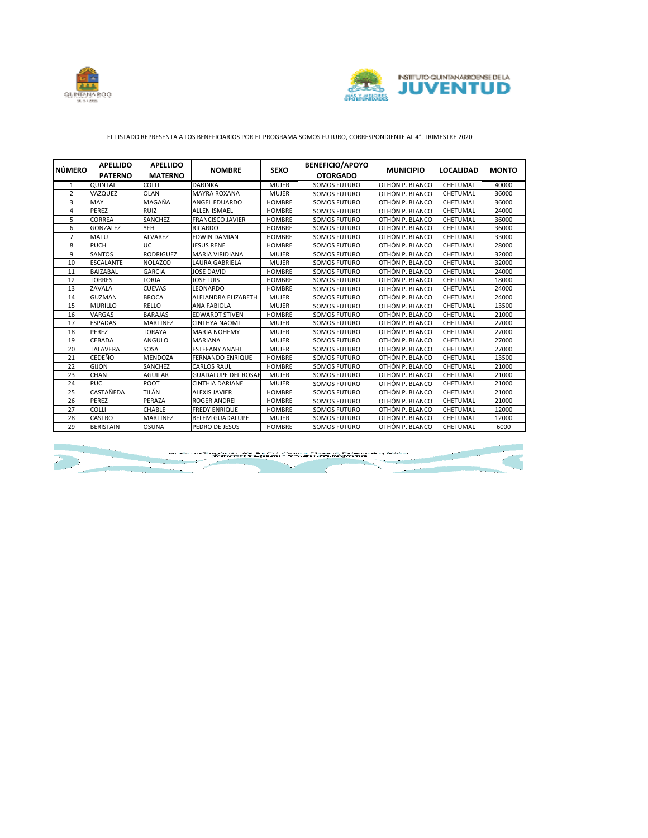



## EL LISTADO REPRESENTA A LOS BENEFICIARIOS POR EL PROGRAMA SOMOS FUTURO, CORRESPONDIENTE AL 4°. TRIMESTRE 2020

| <b>NÚMERO</b>  | <b>APELLIDO</b>  | <b>APELLIDO</b>  | <b>NOMBRE</b>              | <b>SEXO</b>   | <b>BENEFICIO/APOYO</b> | <b>MUNICIPIO</b> | <b>LOCALIDAD</b> | <b>MONTO</b> |
|----------------|------------------|------------------|----------------------------|---------------|------------------------|------------------|------------------|--------------|
|                | <b>PATERNO</b>   | <b>MATERNO</b>   |                            |               | <b>OTORGADO</b>        |                  |                  |              |
| 1              | QUINTAL          | COLLI            | <b>DARINKA</b>             | <b>MUJER</b>  | SOMOS FUTURO           | OTHÓN P. BLANCO  | CHETUMAL         | 40000        |
| $\overline{2}$ | VAZQUEZ          | <b>OLAN</b>      | <b>MAYRA ROXANA</b>        | <b>MUJER</b>  | <b>SOMOS FUTURO</b>    | OTHÓN P. BLANCO  | CHETUMAL         | 36000        |
| 3              | MAY              | MAGAÑA           | <b>ANGEL EDUARDO</b>       | <b>HOMBRE</b> | SOMOS FUTURO           | OTHÓN P. BLANCO  | CHETUMAL         | 36000        |
| 4              | PEREZ            | <b>RUIZ</b>      | <b>ALLEN ISMAEL</b>        | <b>HOMBRE</b> | <b>SOMOS FUTURO</b>    | OTHÓN P. BLANCO  | CHETUMAL         | 24000        |
| 5              | <b>CORREA</b>    | SANCHEZ          | <b>FRANCISCO JAVIER</b>    | <b>HOMBRE</b> | SOMOS FUTURO           | OTHÓN P. BLANCO  | CHETUMAL         | 36000        |
| 6              | <b>GONZALEZ</b>  | <b>YEH</b>       | <b>RICARDO</b>             | <b>HOMBRE</b> | SOMOS FUTURO           | OTHÓN P. BLANCO  | CHETUMAL         | 36000        |
| $\overline{7}$ | <b>MATU</b>      | <b>ALVAREZ</b>   | <b>EDWIN DAMIAN</b>        | <b>HOMBRE</b> | SOMOS FUTURO           | OTHÓN P. BLANCO  | CHETUMAL         | 33000        |
| 8              | PUCH             | UC               | <b>JESUS RENE</b>          | <b>HOMBRE</b> | SOMOS FUTURO           | OTHÓN P. BLANCO  | CHETUMAL         | 28000        |
| 9              | <b>SANTOS</b>    | <b>RODRIGUEZ</b> | <b>MARIA VIRIDIANA</b>     | <b>MUJER</b>  | <b>SOMOS FUTURO</b>    | OTHÓN P. BLANCO  | CHETUMAL         | 32000        |
| 10             | <b>ESCALANTE</b> | <b>NOLAZCO</b>   | <b>LAURA GABRIELA</b>      | <b>MUJER</b>  | <b>SOMOS FUTURO</b>    | OTHÓN P. BLANCO  | CHETUMAL         | 32000        |
| 11             | <b>BAIZABAL</b>  | <b>GARCIA</b>    | <b>JOSE DAVID</b>          | <b>HOMBRE</b> | SOMOS FUTURO           | OTHÓN P. BLANCO  | CHETUMAL         | 24000        |
| 12             | <b>TORRES</b>    | LORIA            | <b>JOSE LUIS</b>           | <b>HOMBRE</b> | SOMOS FUTURO           | OTHÓN P. BLANCO  | CHETUMAL         | 18000        |
| 13             | ZAVALA           | <b>CUEVAS</b>    | <b>LEONARDO</b>            | <b>HOMBRE</b> | <b>SOMOS FUTURO</b>    | OTHÓN P. BLANCO  | CHETUMAL         | 24000        |
| 14             | <b>GUZMAN</b>    | <b>BROCA</b>     | ALEJANDRA ELIZABETH        | <b>MUJER</b>  | <b>SOMOS FUTURO</b>    | OTHÓN P. BLANCO  | CHETUMAL         | 24000        |
| 15             | <b>MURILLO</b>   | RELLO            | <b>ANA FABIOLA</b>         | <b>MUJER</b>  | SOMOS FUTURO           | OTHÓN P. BLANCO  | CHETUMAL         | 13500        |
| 16             | VARGAS           | <b>BARAJAS</b>   | <b>EDWARDT STIVEN</b>      | <b>HOMBRE</b> | SOMOS FUTURO           | OTHÓN P. BLANCO  | CHETUMAL         | 21000        |
| 17             | <b>ESPADAS</b>   | <b>MARTINEZ</b>  | <b>CINTHYA NAOMI</b>       | <b>MUJER</b>  | SOMOS FUTURO           | OTHÓN P. BLANCO  | CHETUMAL         | 27000        |
| 18             | PEREZ            | TORAYA           | <b>MARIA NOHEMY</b>        | <b>MUJER</b>  | SOMOS FUTURO           | OTHÓN P. BLANCO  | CHETUMAL         | 27000        |
| 19             | CEBADA           | ANGULO           | <b>MARIANA</b>             | <b>MUJER</b>  | SOMOS FUTURO           | OTHÓN P. BLANCO  | CHETUMAL         | 27000        |
| 20             | <b>TALAVERA</b>  | SOSA             | <b>ESTEFANY ANAHI</b>      | <b>MUJER</b>  | SOMOS FUTURO           | OTHÓN P. BLANCO  | CHETUMAL         | 27000        |
| 21             | CEDEÑO           | <b>MENDOZA</b>   | <b>FERNANDO ENRIQUE</b>    | <b>HOMBRE</b> | SOMOS FUTURO           | OTHÓN P. BLANCO  | CHETUMAL         | 13500        |
| 22             | <b>GIJON</b>     | SANCHEZ          | <b>CARLOS RAUL</b>         | <b>HOMBRE</b> | SOMOS FUTURO           | OTHÓN P. BLANCO  | CHETUMAL         | 21000        |
| 23             | <b>CHAN</b>      | <b>AGUILAR</b>   | <b>GUADALUPE DEL ROSAR</b> | <b>MUJER</b>  | SOMOS FUTURO           | OTHÓN P. BLANCO  | CHETUMAL         | 21000        |
| 24             | PUC.             | POOT             | <b>CINTHIA DARIANE</b>     | <b>MUJER</b>  | SOMOS FUTURO           | OTHÓN P. BLANCO  | CHETUMAL         | 21000        |
| 25             | CASTAÑEDA        | TILÁN            | <b>ALEXIS JAVIER</b>       | <b>HOMBRE</b> | <b>SOMOS FUTURO</b>    | OTHÓN P. BLANCO  | CHETUMAL         | 21000        |
| 26             | PEREZ            | PERAZA           | <b>ROGER ANDREI</b>        | <b>HOMBRE</b> | <b>SOMOS FUTURO</b>    | OTHÓN P. BLANCO  | CHETUMAL         | 21000        |
| 27             | <b>COLLI</b>     | CHABLE           | <b>FREDY ENRIQUE</b>       | <b>HOMBRE</b> | <b>SOMOS FUTURO</b>    | OTHÓN P. BLANCO  | CHETUMAL         | 12000        |
| 28             | <b>CASTRO</b>    | <b>MARTINEZ</b>  | <b>BELEM GUADALUPE</b>     | <b>MUJER</b>  | <b>SOMOS FUTURO</b>    | OTHÓN P. BLANCO  | CHETUMAL         | 12000        |
| 29             | <b>BERISTAIN</b> | <b>OSUNA</b>     | PEDRO DE JESUS             | <b>HOMBRE</b> | SOMOS FUTURO           | OTHÓN P. BLANCO  | CHETUMAL         | 6000         |

the Control of the Control of the Control of the Control of the Control of the Control of the Control of the C<br>- The Control of the Control of the Control of the Control of the Control of the Control of the Control of the<br>